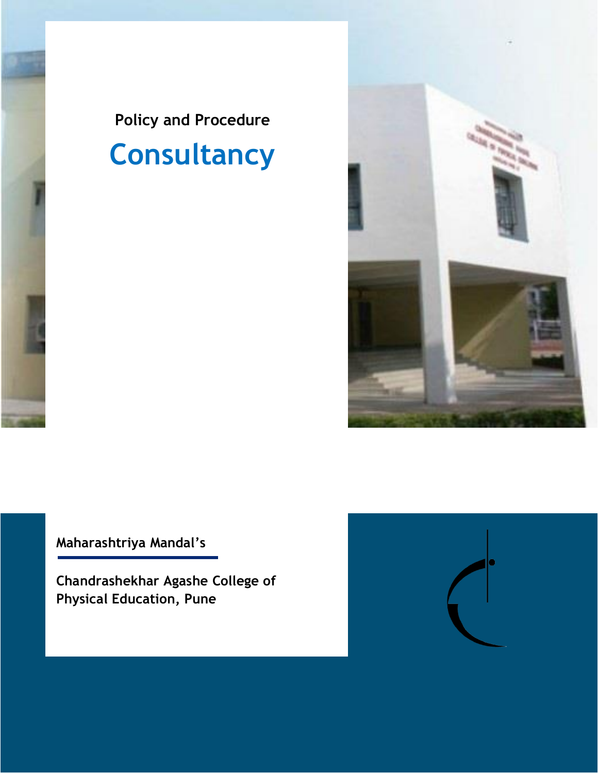



**Maharashtriya Mandal's**

**Chandrashekhar Agashe College of Physical Education, Pune**

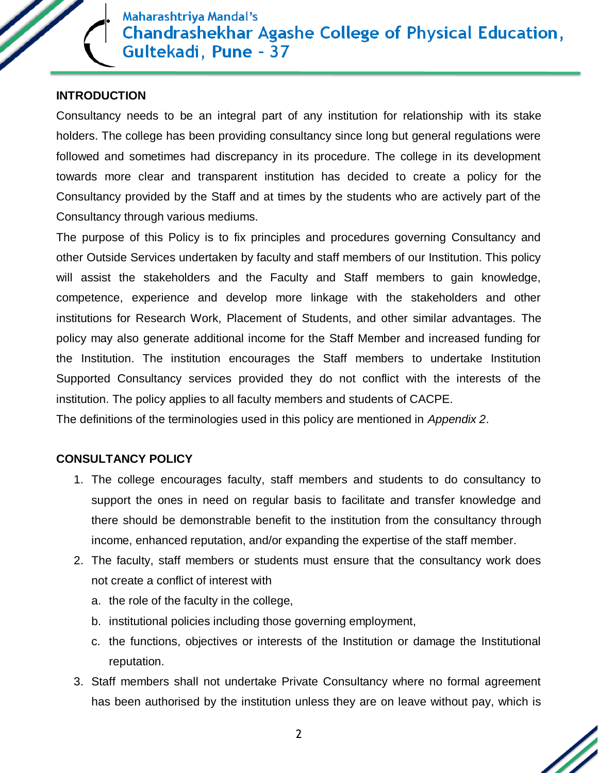### **INTRODUCTION**

Consultancy needs to be an integral part of any institution for relationship with its stake holders. The college has been providing consultancy since long but general regulations were followed and sometimes had discrepancy in its procedure. The college in its development towards more clear and transparent institution has decided to create a policy for the Consultancy provided by the Staff and at times by the students who are actively part of the Consultancy through various mediums.

The purpose of this Policy is to fix principles and procedures governing Consultancy and other Outside Services undertaken by faculty and staff members of our Institution. This policy will assist the stakeholders and the Faculty and Staff members to gain knowledge, competence, experience and develop more linkage with the stakeholders and other institutions for Research Work, Placement of Students, and other similar advantages. The policy may also generate additional income for the Staff Member and increased funding for the Institution. The institution encourages the Staff members to undertake Institution Supported Consultancy services provided they do not conflict with the interests of the institution. The policy applies to all faculty members and students of CACPE.

The definitions of the terminologies used in this policy are mentioned in *Appendix 2*.

### **CONSULTANCY POLICY**

- 1. The college encourages faculty, staff members and students to do consultancy to support the ones in need on regular basis to facilitate and transfer knowledge and there should be demonstrable benefit to the institution from the consultancy through income, enhanced reputation, and/or expanding the expertise of the staff member.
- 2. The faculty, staff members or students must ensure that the consultancy work does not create a conflict of interest with
	- a. the role of the faculty in the college,
	- b. institutional policies including those governing employment,
	- c. the functions, objectives or interests of the Institution or damage the Institutional reputation.
- 3. Staff members shall not undertake Private Consultancy where no formal agreement has been authorised by the institution unless they are on leave without pay, which is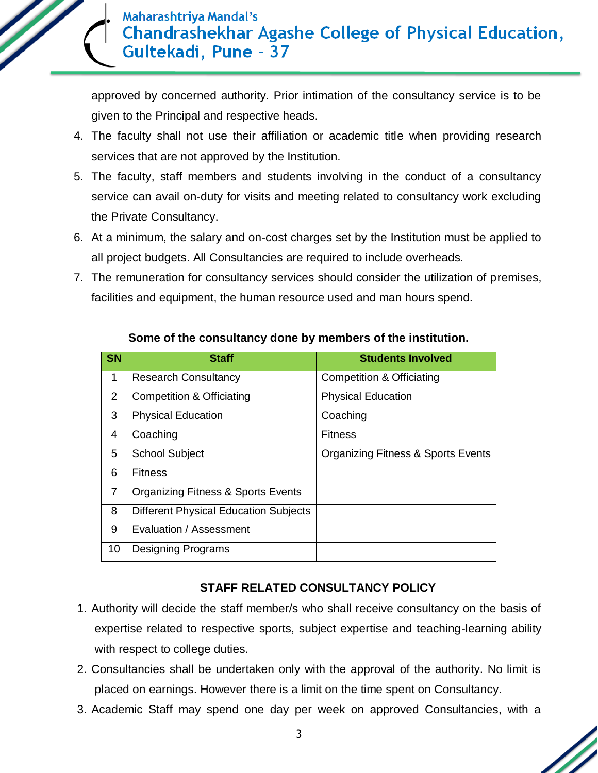

approved by concerned authority. Prior intimation of the consultancy service is to be given to the Principal and respective heads.

- 4. The faculty shall not use their affiliation or academic title when providing research services that are not approved by the Institution.
- 5. The faculty, staff members and students involving in the conduct of a consultancy service can avail on-duty for visits and meeting related to consultancy work excluding the Private Consultancy.
- 6. At a minimum, the salary and on-cost charges set by the Institution must be applied to all project budgets. All Consultancies are required to include overheads.
- 7. The remuneration for consultancy services should consider the utilization of premises, facilities and equipment, the human resource used and man hours spend.

| <b>SN</b> | <b>Staff</b>                                  | <b>Students Involved</b>                      |
|-----------|-----------------------------------------------|-----------------------------------------------|
| 1         | <b>Research Consultancy</b>                   | <b>Competition &amp; Officiating</b>          |
| 2         | <b>Competition &amp; Officiating</b>          | <b>Physical Education</b>                     |
| 3         | <b>Physical Education</b>                     | Coaching                                      |
| 4         | Coaching                                      | <b>Fitness</b>                                |
| 5         | <b>School Subject</b>                         | <b>Organizing Fitness &amp; Sports Events</b> |
| 6         | <b>Fitness</b>                                |                                               |
| 7         | <b>Organizing Fitness &amp; Sports Events</b> |                                               |
| 8         | <b>Different Physical Education Subjects</b>  |                                               |
| 9         | Evaluation / Assessment                       |                                               |
| 10        | <b>Designing Programs</b>                     |                                               |

## **Some of the consultancy done by members of the institution.**

## **STAFF RELATED CONSULTANCY POLICY**

- 1. Authority will decide the staff member/s who shall receive consultancy on the basis of expertise related to respective sports, subject expertise and teaching-learning ability with respect to college duties.
- 2. Consultancies shall be undertaken only with the approval of the authority. No limit is placed on earnings. However there is a limit on the time spent on Consultancy.
- 3. Academic Staff may spend one day per week on approved Consultancies, with a

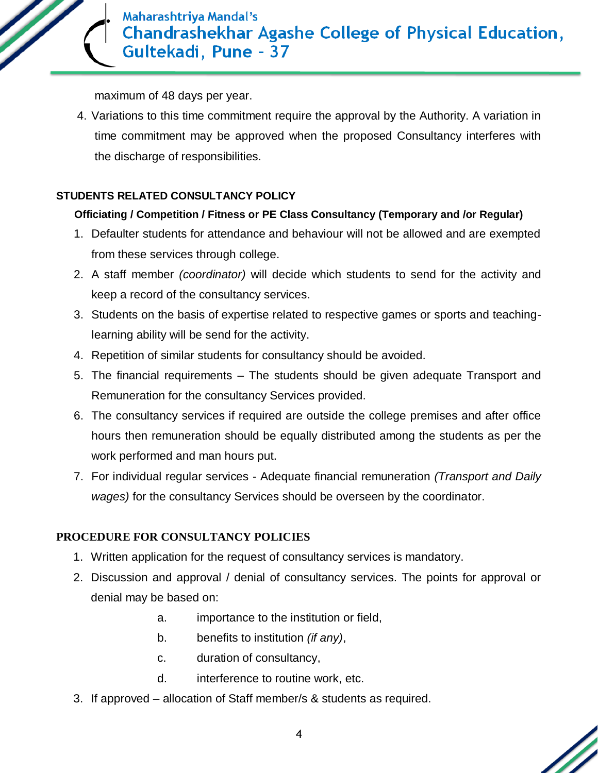

maximum of 48 days per year.

4. Variations to this time commitment require the approval by the Authority. A variation in time commitment may be approved when the proposed Consultancy interferes with the discharge of responsibilities.

### **STUDENTS RELATED CONSULTANCY POLICY**

### **Officiating / Competition / Fitness or PE Class Consultancy (Temporary and /or Regular)**

- 1. Defaulter students for attendance and behaviour will not be allowed and are exempted from these services through college.
- 2. A staff member *(coordinator)* will decide which students to send for the activity and keep a record of the consultancy services.
- 3. Students on the basis of expertise related to respective games or sports and teachinglearning ability will be send for the activity.
- 4. Repetition of similar students for consultancy should be avoided.
- 5. The financial requirements The students should be given adequate Transport and Remuneration for the consultancy Services provided.
- 6. The consultancy services if required are outside the college premises and after office hours then remuneration should be equally distributed among the students as per the work performed and man hours put.
- 7. For individual regular services Adequate financial remuneration *(Transport and Daily wages)* for the consultancy Services should be overseen by the coordinator.

### **PROCEDURE FOR CONSULTANCY POLICIES**

- 1. Written application for the request of consultancy services is mandatory.
- 2. Discussion and approval / denial of consultancy services. The points for approval or denial may be based on:
	- a. importance to the institution or field,
	- b. benefits to institution *(if any)*,
	- c. duration of consultancy,
	- d. interference to routine work, etc.
- 3. If approved allocation of Staff member/s & students as required.

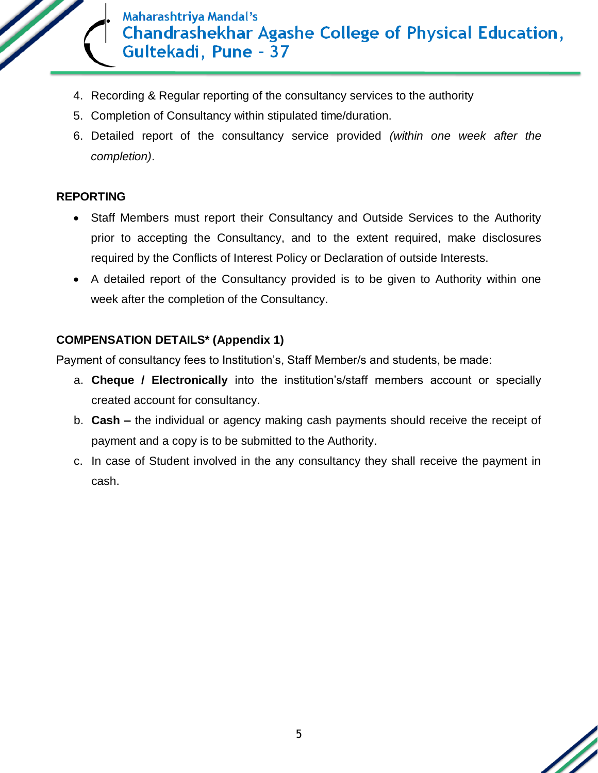

- 4. Recording & Regular reporting of the consultancy services to the authority
- 5. Completion of Consultancy within stipulated time/duration.
- 6. Detailed report of the consultancy service provided *(within one week after the completion)*.

## **REPORTING**

- Staff Members must report their Consultancy and Outside Services to the Authority prior to accepting the Consultancy, and to the extent required, make disclosures required by the Conflicts of Interest Policy or Declaration of outside Interests.
- A detailed report of the Consultancy provided is to be given to Authority within one week after the completion of the Consultancy.

## **COMPENSATION DETAILS\* (Appendix 1)**

Payment of consultancy fees to Institution's, Staff Member/s and students, be made:

- a. **Cheque / Electronically** into the institution's/staff members account or specially created account for consultancy.
- b. **Cash –** the individual or agency making cash payments should receive the receipt of payment and a copy is to be submitted to the Authority.
- c. In case of Student involved in the any consultancy they shall receive the payment in cash.

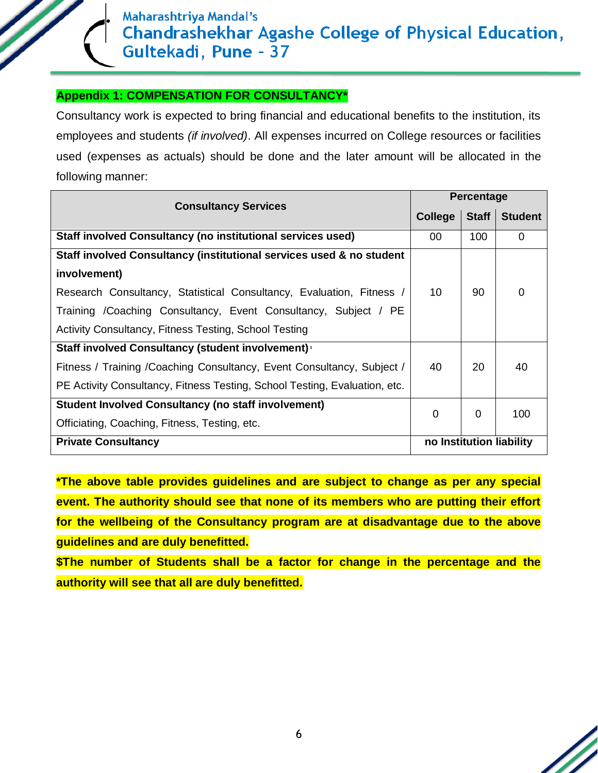### **Appendix 1: COMPENSATION FOR CONSULTANCY\***

Consultancy work is expected to bring financial and educational benefits to the institution, its employees and students *(if involved)*. All expenses incurred on College resources or facilities used (expenses as actuals) should be done and the later amount will be allocated in the following manner:

| <b>Consultancy Services</b>                                                |                          | <b>Percentage</b> |                |  |  |
|----------------------------------------------------------------------------|--------------------------|-------------------|----------------|--|--|
|                                                                            | College                  | <b>Staff</b>      | <b>Student</b> |  |  |
| Staff involved Consultancy (no institutional services used)                | 00                       | 100               | $\Omega$       |  |  |
| Staff involved Consultancy (institutional services used & no student       |                          |                   |                |  |  |
| involvement)                                                               |                          |                   |                |  |  |
| Research Consultancy, Statistical Consultancy, Evaluation, Fitness /       | 10                       | 90                | $\Omega$       |  |  |
| Training / Coaching Consultancy, Event Consultancy, Subject / PE           |                          |                   |                |  |  |
| Activity Consultancy, Fitness Testing, School Testing                      |                          |                   |                |  |  |
| Staff involved Consultancy (student involvement) s                         |                          |                   |                |  |  |
| Fitness / Training / Coaching Consultancy, Event Consultancy, Subject /    | 40                       | 20                | 40             |  |  |
| PE Activity Consultancy, Fitness Testing, School Testing, Evaluation, etc. |                          |                   |                |  |  |
| <b>Student Involved Consultancy (no staff involvement)</b>                 | 0                        | 0                 | 100            |  |  |
| Officiating, Coaching, Fitness, Testing, etc.                              |                          |                   |                |  |  |
| <b>Private Consultancy</b>                                                 | no Institution liability |                   |                |  |  |

**\*The above table provides guidelines and are subject to change as per any special event. The authority should see that none of its members who are putting their effort for the wellbeing of the Consultancy program are at disadvantage due to the above guidelines and are duly benefitted.**

**\$The number of Students shall be a factor for change in the percentage and the authority will see that all are duly benefitted.**

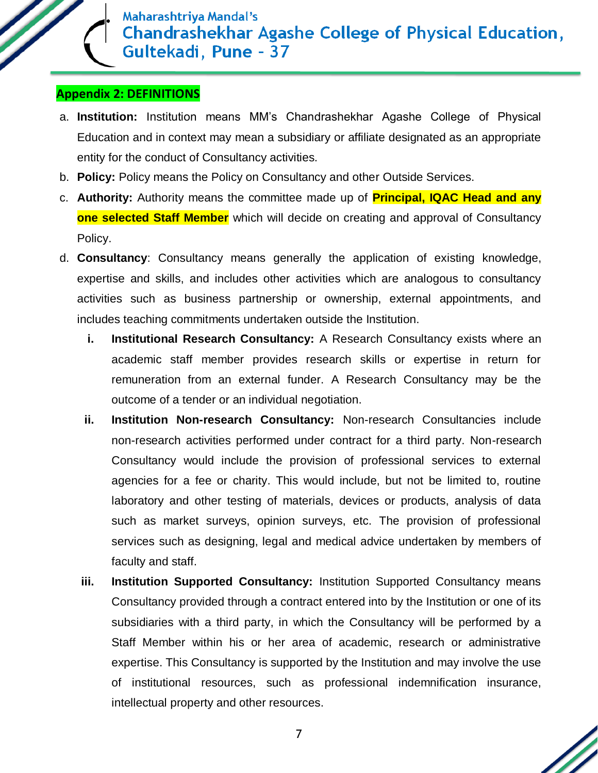## **Appendix 2: DEFINITIONS**

- a. **Institution:** Institution means MM's Chandrashekhar Agashe College of Physical Education and in context may mean a subsidiary or affiliate designated as an appropriate entity for the conduct of Consultancy activities.
- b. **Policy:** Policy means the Policy on Consultancy and other Outside Services.
- c. **Authority:** Authority means the committee made up of **Principal, IQAC Head and any one selected Staff Member** which will decide on creating and approval of Consultancy Policy.
- d. **Consultancy**: Consultancy means generally the application of existing knowledge, expertise and skills, and includes other activities which are analogous to consultancy activities such as business partnership or ownership, external appointments, and includes teaching commitments undertaken outside the Institution.
	- **i. Institutional Research Consultancy:** A Research Consultancy exists where an academic staff member provides research skills or expertise in return for remuneration from an external funder. A Research Consultancy may be the outcome of a tender or an individual negotiation.
	- **ii. Institution Non-research Consultancy:** Non-research Consultancies include non-research activities performed under contract for a third party. Non-research Consultancy would include the provision of professional services to external agencies for a fee or charity. This would include, but not be limited to, routine laboratory and other testing of materials, devices or products, analysis of data such as market surveys, opinion surveys, etc. The provision of professional services such as designing, legal and medical advice undertaken by members of faculty and staff.
	- **iii. Institution Supported Consultancy:** Institution Supported Consultancy means Consultancy provided through a contract entered into by the Institution or one of its subsidiaries with a third party, in which the Consultancy will be performed by a Staff Member within his or her area of academic, research or administrative expertise. This Consultancy is supported by the Institution and may involve the use of institutional resources, such as professional indemnification insurance, intellectual property and other resources.

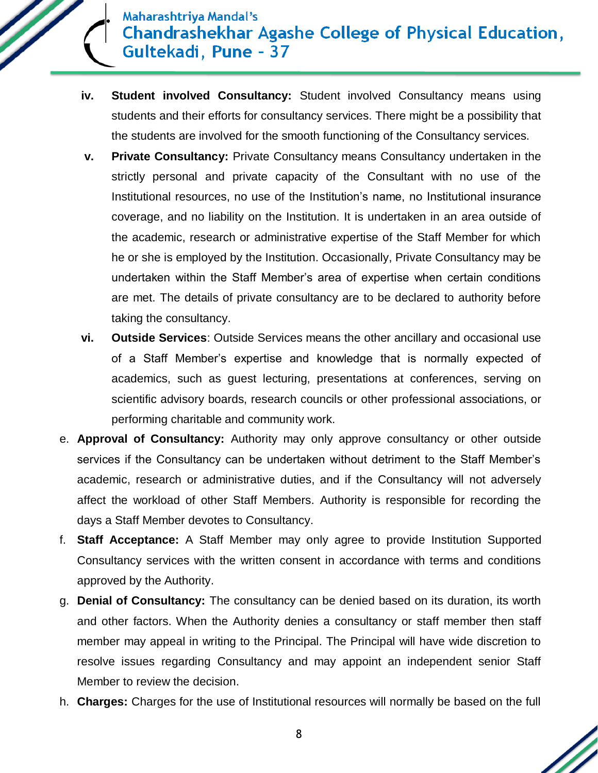- **iv. Student involved Consultancy:** Student involved Consultancy means using students and their efforts for consultancy services. There might be a possibility that the students are involved for the smooth functioning of the Consultancy services.
- **v. Private Consultancy:** Private Consultancy means Consultancy undertaken in the strictly personal and private capacity of the Consultant with no use of the Institutional resources, no use of the Institution's name, no Institutional insurance coverage, and no liability on the Institution. It is undertaken in an area outside of the academic, research or administrative expertise of the Staff Member for which he or she is employed by the Institution. Occasionally, Private Consultancy may be undertaken within the Staff Member's area of expertise when certain conditions are met. The details of private consultancy are to be declared to authority before taking the consultancy.
- **vi. Outside Services**: Outside Services means the other ancillary and occasional use of a Staff Member's expertise and knowledge that is normally expected of academics, such as guest lecturing, presentations at conferences, serving on scientific advisory boards, research councils or other professional associations, or performing charitable and community work.
- e. **Approval of Consultancy:** Authority may only approve consultancy or other outside services if the Consultancy can be undertaken without detriment to the Staff Member's academic, research or administrative duties, and if the Consultancy will not adversely affect the workload of other Staff Members. Authority is responsible for recording the days a Staff Member devotes to Consultancy.
- f. **Staff Acceptance:** A Staff Member may only agree to provide Institution Supported Consultancy services with the written consent in accordance with terms and conditions approved by the Authority.
- g. **Denial of Consultancy:** The consultancy can be denied based on its duration, its worth and other factors. When the Authority denies a consultancy or staff member then staff member may appeal in writing to the Principal. The Principal will have wide discretion to resolve issues regarding Consultancy and may appoint an independent senior Staff Member to review the decision.
- h. **Charges:** Charges for the use of Institutional resources will normally be based on the full

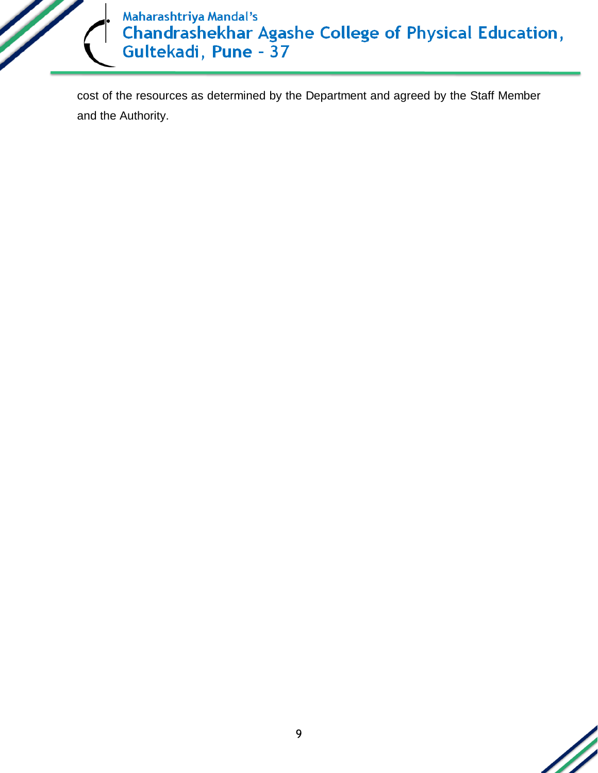

cost of the resources as determined by the Department and agreed by the Staff Member and the Authority.

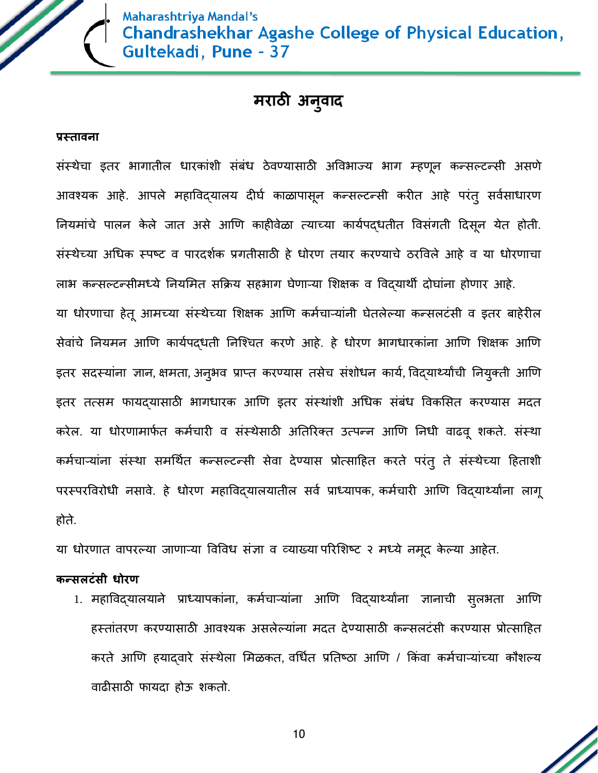

# **मराठी अनव ु ाद**

#### **प्रस्तावना**

संस्थेचा इतर भागातील धारकांशी संबंध ठेवण्यासाठी अववभाज्य भाग म्हणून कन्सल्टन्सी असणे आवश्यक आहे. आपले महाविद्यालय दीर्घ काळापासून कन्सल्टन्सी करीत आहे परंत् सर्वसाधारण नियमांचे पालन केले जात असे आणि काहीवेळा त्याच्या कार्यपदधतीत विसंगती दिसून येत होती. संस्थेच्या अधधक स्पष्ट व पारदशघक प्रगतीसाठी हे धोरण तयार करण्याचे ठरववले आहे व या धोरणाचा लाभ कन्सल्टन्सीमध्ये नियमित सक्रिय सहभाग घेणाऱ्या शिक्षक व विदयार्थी दोघांना होणार आहे. या धोरणाचा हेतू आमच्या संस्थेच्या शिक्षक आणि कर्मचाऱ्यांनी घेतलेल्या कन्सलटंसी व इतर बाहेरील सेवांचे नियमन आणि कार्यपदधती निश्चित करणे आहे. हे धोरण भागधारकांना आणि शिक्षक आणि इतर सदस्यांना ज्ञान, क्षमता, अनुभव प्राप्त करण्यास तसेच संशोधन कार्य, विद्यार्थ्यांची नियुक्ती आणि इतर तत्सम फायदयासाठी भागधारक आणि इतर संस्थांशी अधिक संबंध विकसित करण्यास मदत करेल. या धोरणामार्फत कर्मचारी व संस्थेसाठी अतिरिक्त उत्पन्न आणि निधी वाढवू शकते. संस्था कर्मचाऱ्यांना संस्था समर्थित कन्सल्टन्सी सेवा देण्यास प्रोत्साहित करते परंतु ते संस्थेच्या हिताशी परस्परविरोधी नसावे. हे धोरण महाविद्यालयातील सर्व प्राध्यापक, कर्मचारी आणि विद्यार्थ्यांना लागू होते.

या धोरणात वापरल्या जाणाऱ्या विविध संज्ञा व व्याख्या परिशिष्ट २ मध्ये नमूद केल्या आहेत.

#### **कन्सलटंसी धोरण**

1. महाविद्यालयाने प्राध्यापकांना, कर्मचाऱ्यांना आणि विद्यार्थ्यांना ज्ञानाची सुलभता आणि हस्तांतरण करण्यासाठी आवश्यक असलेल्यांना मदत देण्यासाठी कन्सलटंसी करण्यास प्रोत्सादहत करते आणि हयादवारे संस्थेला मिळकत, वर्धित प्रतिष्ठा आणि / किंवा कर्मचाऱ्यांच्या कौशल्य वाढीसाठी फायदा होऊ शकतो.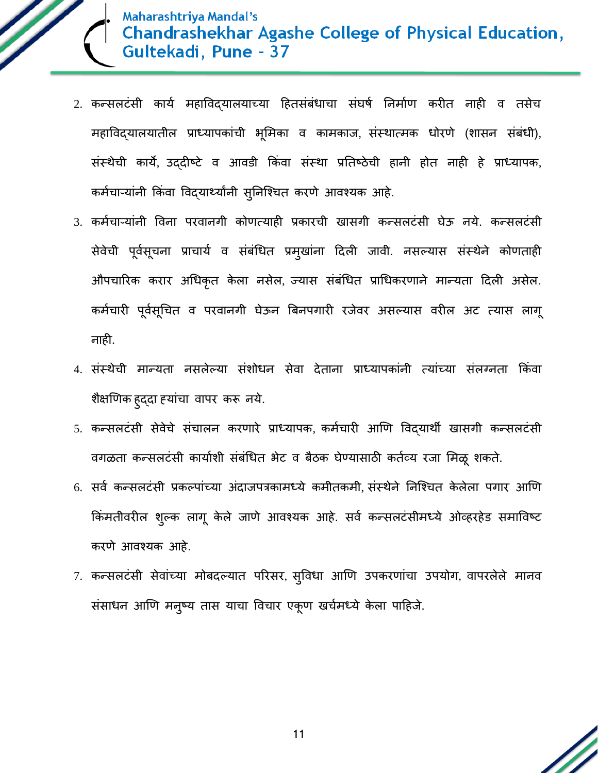

- 2. कन्सलटंसी कार्य महाविद्यालयाच्या हितसंबंधाचा संघर्ष निर्माण करीत नाही व तसेच महाविद्यालयातील प्राध्यापकांची भूमिका व कामकाज, संस्थात्मक धोरणे (शासन संबंधी), संस्थेची काये, उद्दीष्टे व आवडी क्रकंवा सस्ं था प्रनतष्ठेची हानी होत नाही हे प्राध्यापक, कर्मचाऱ्यांनी किंवा विदयार्थ्यांनी सुनिश्चित करणे आवश्यक आहे.
- 3. कर्मचाऱ्यांनी विना परवानगी कोणत्याही प्रकारची खासगी कन्सलटंसी घेऊ नये. कन्सलटंसी सेवेची पूर्वसूचना प्राचार्य व संबंधित प्रमुखांना दिली जावी. नसल्यास संस्थेने कोणताही औपचाररक करार अधधकृत केला नसेल, ज्यास संबंधधत प्राधधकरणाने मान्यता ददली असेल. कर्मचारी पूर्वसूचित व परवानगी घेऊन बिनपगारी रजेवर असल्यास वरील अट त्यास लागू नाही.
- 4. संस्थेची मान्यता नसलेल्या संशोधन सेवा देताना प्राध्यापकांनी त्यांच्या संलग्नता क्रकंवा शैक्षणणक हुद्दा हयांचा वापर करू नये.
- 5. कन्सलटंसी सेवेचे संचालन करणारे प्राध्यापक, कर्मचारी आणि विद्यार्थी खासगी कन्सलटंसी वगळता कन्सलटंसी कार्याशी संबंधित भेट व बैठक घेण्यासाठी कर्तव्य रजा मिळू शकते.
- 6. सर्व कन्सलटंसी प्रकल्पांच्या अंदाजपत्रकामध्ये कमीतकमी, संस्थेने निश्चित केलेला पगार आणि किंमतीवरील शुल्क लागू केले जाणे आवश्यक आहे. सर्व कन्सलटंसीमध्ये ओव्हरहेड समाविष्ट करणे आवश्यक आहे.
- 7. कन्सलटंसी सेवांच्या मोबदल्यात पररसर, सुववधा आणण उपकरणांचा उपयोग, वापरलेले मानव संसाधन आणि मनुष्य तास याचा विचार एकूण खर्चमध्ये केला पाहिजे.

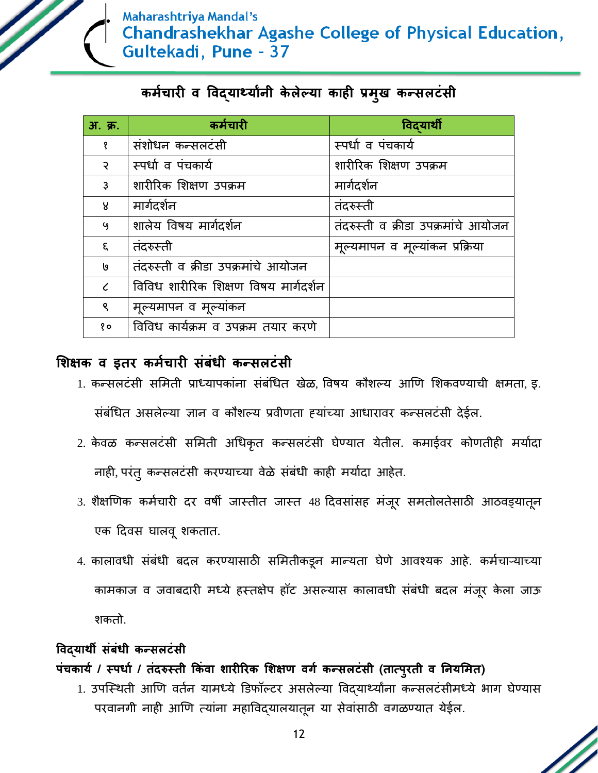

# **कममचारी व ववद्यार्थयाांनी के लेल्या काही प्रम ु ख कन्सलटंसी**

| अ. क्र.        | कर्मचारी                             | विदयार्थी                           |
|----------------|--------------------------------------|-------------------------------------|
| १              | संशोधन कन्सलटंसी                     | स्पर्धा व पंचकार्य                  |
| $\mathcal{S}$  | स्पर्धा व पंचकार्य                   | शारीरिक शिक्षण उपक्रम               |
| $\mathfrak{z}$ | शारीरिक शिक्षण उपक्रम                | मार्गदर्शन                          |
| R              | मार्गदर्शन                           | तंदरुस्ती                           |
| ५              | शालेय विषय मार्गदर्शन                | तंदरुस्ती व क्रीडा उपक्रमांचे आयोजन |
| ξ.             | तंदरुस्ती                            | मूल्यमापन व मूल्यांकन प्रक्रिया     |
| J۹             | तंदरुस्ती व क्रीडा उपक्रमांचे आयोजन  |                                     |
|                | विविध शारीरिक शिक्षण विषय मार्गदर्शन |                                     |
| ९              | मूल्यमापन व मूल्यांकन                |                                     |
| १०             | विविध कार्यक्रम व उपक्रम तयार करणे   |                                     |

## **शिक्षक व इतर कममचारी संबंधी कन्सलटंसी**

- 1. कन्सलटंसी समिती प्राध्यापकांना संबंधित खेळ, विषय कौशल्य आणि शिकवण्याची क्षमता, इ. संबंधधत असलेल्या ज्ञान व कौशल्य प्रवीणता हयांच्या आधारावर कन्सलटंसी देईल.
- 2. केवळ कन्सलटंसी समिती अधिकृत कन्सलटंसी घेण्यात येतील. कमाईवर कोणतीही मर्यादा नाही, परंतु कन्सलटंसी करण्याच्या वेळे संबंधी काही मर्यादा आहेत.
- 3. शैक्षणिक कर्मचारी दर वर्षी जास्तीत जास्त 48 दिवसांसह मंजूर समतोलतेसाठी आठवड्यातून एक ददवस र्ालवूशकतात.
- 4. कालावधी संबंधी बदल करण्यासाठी समितीकडून मान्यता घेणे आवश्यक आहे. कर्मचाऱ्याच्या कामकाज व जवाबदारी मध्ये हस्तक्षेप हॉट असल्यास कालावधी संबंधी बदल मंजूर केला जाऊ शकतो.

## **ववद्यार्थी संबंधी कन्सलटंसी**

## **पंचकायम / स्पधाम / तंदरुस्ती ककंवा िारीररक शिक्षण वर्म कन्सलटंसी (तात्पुरती व ननयशमत)**

1. उपस्थिती आणि वर्तन यामध्ये डिफॉल्टर असलेल्या विद्यार्थ्यांना कन्सलटंसीमध्ये भाग घेण्यास परवानगी नाही आणण त्यांना महाववद्यालयातून या सेवांसाठी वगळण्यात येईल.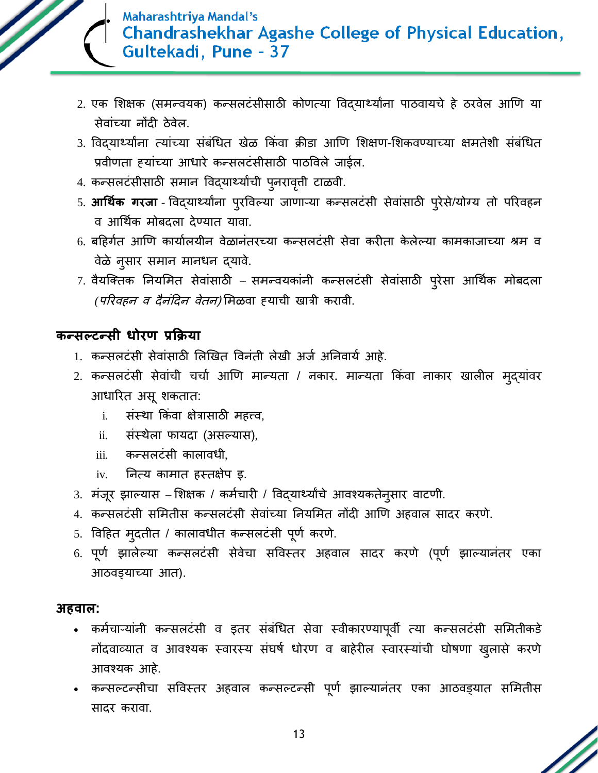

- 2. एक शिक्षक (समन्वयक) कन्सलटंसीसाठी कोणत्या विदयार्थ्यांना पाठवायचे हे ठरवेल आणि या सेवांच्या नोंदी ठेवेल.
- 3. विद्यार्थ्यांना त्यांच्या संबंधित खेळ किंवा क्रीडा आणि शिक्षण-शिकवण्याच्या क्षमतेशी संबंधित प्रवीणता हयांच्या आधारे कन्सलटंसीसाठी पाठववले जाईल.
- 4. कन्सलटंसीसाठी समान विद्यार्थ्यांची पुनरावृत्ती टाळवी.
- 5. **आर्थिक गरजा** विद्यार्थ्यांना पुरविल्या जाणाऱ्या कन्सलटंसी सेवांसाठी पुरेसे/योग्य तो परिवहन व आर्थिक मोबदला देण्यात यावा.
- 6. बहिर्गत आणि कार्यालयीन वेळानंतरच्या कन्सलटंसी सेवा करीता केलेल्या कामकाजाच्या श्रम व वेळे नुसार समान मानधन द्यावे.
- 7. वैयक्तिक नियमित सेवांसाठी समन्वयकांनी कन्सलटंसी सेवांसाठी पुरेसा आर्थिक मोबदला *(परिवहन व दैनंदिन वेतन)* मिळवा हयाची खात्री करावी.

## **कन्सल्टन्सी धोरण प्रकक्रया**

- 1. कन्सलटंसी सेवांसाठी लिखित विनंती लेखी अर्ज अनिवार्य आहे.
- 2. कन्सलटंसी सेवांची चर्चा आणि मान्यता / नकार. मान्यता किंवा नाकार खालील मुद्यांवर आधाररत असूशकतात:
	- i. संस्था किंवा क्षेत्रासाठी महत्त्व,
	- ii. संस्थेला फायदा (असल्यास),
	- iii. कन्सलटंसी कालावधी,
	- iv. ननत्य कामात हस्तक्षेप इ.
- 3. मंजूर झाल्यास शिक्षक / कर्मचारी / विद्यार्थ्यांचे आवश्यकतेनुसार वाटणी.
- 4. कन्सलटंसी सममतीस कन्सलटंसी सेवांच्या ननयममत नोंदी आणण अहवाल सादर करणे.
- 5. विहित मुदतीत / कालावधीत कन्सलटंसी पूर्ण करणे.
- 6. पूर्ण झालेल्या कन्सलटंसी सेवेचा सविस्तर अहवाल सादर करणे (पूर्ण झाल्यानंतर एका आठवड्याच्या आत).

## **अहवाल:**

- कर्मचाऱ्यांनी कन्सलटंसी व इतर संबंधित सेवा स्वीकारण्यापूर्वी त्या कन्सलटंसी समितीकडे नोंदवायायात व आवश्यक स्वारस्य संर्र्घ धोरण व बाहेरील स्वारस्यांची र्ोर्णा खुलासे करणे आवश्यक आहे.
- कन्सल्टन्सीचा सविस्तर अहवाल कन्सल्टन्सी पूर्ण झाल्यानंतर एका आठवड्यात समितीस सादर करावा.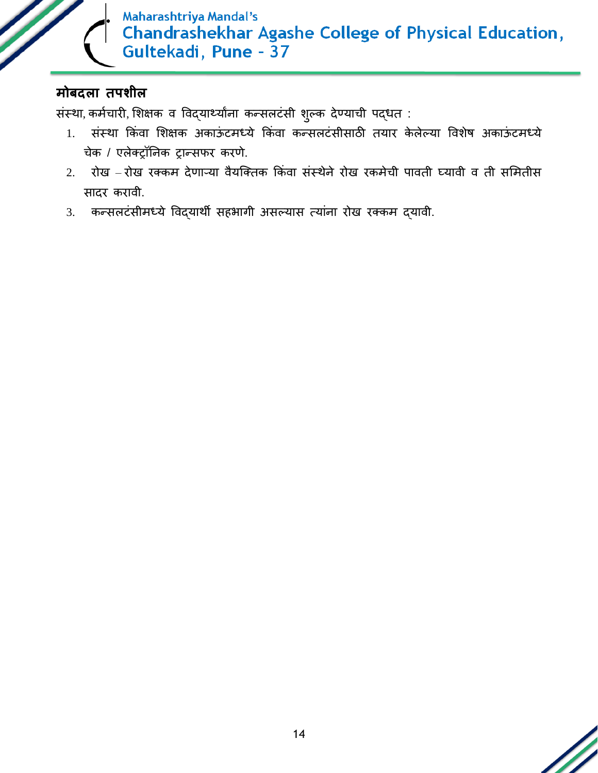

# **मोबदला तपिील**

संस्था, कर्मचारी, शिक्षक व विद्यार्थ्यांना कन्सलटंसी शुल्क देण्याची पद्धत :

- 1. संस्था किंवा शिक्षक अकाऊंटमध्ये किंवा कन्सलटंसीसाठी तयार केलेल्या विशेष अकाऊंटमध्ये चेक / एलेक्रॉननक रान्सफर करणे.
- 2. रोख रोख रक्कम देणाऱ्या वैयश्क्तक क्रकंवा संस्थेने रोख रकमेची पावती घ्यावी व ती सममतीस सादर करावी.
- 3. कन्सलटंसीमध्ये ववद्याथी सहभागी असल्यास त्यांना रोख रक्कम द्यावी.

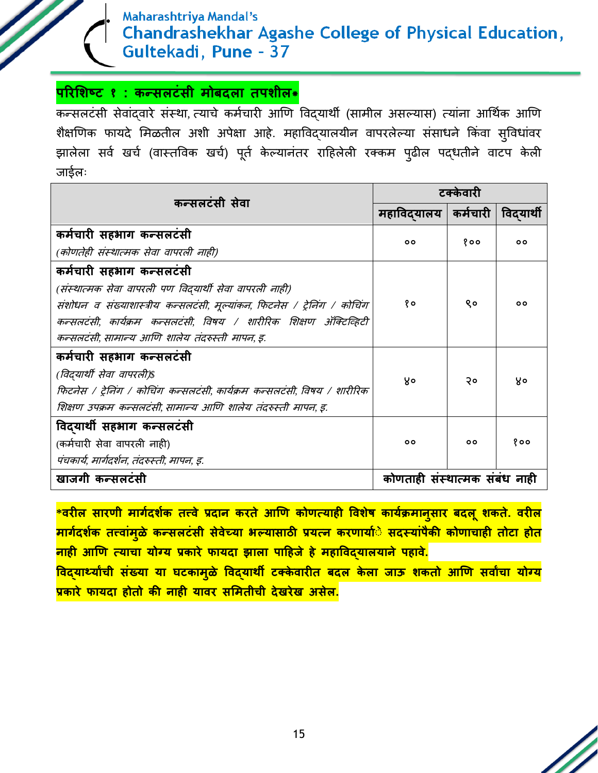## **पररशिष्ट १ : कन्सलटंसी मोबदला तपिील\***

कन्सलटंसी सेवांदवारे संस्था, त्याचे कर्मचारी आणि विद्यार्थी (सामील असल्यास) त्यांना आर्थिक आणि शैक्षणिक फायदे मिळतील अशी अपेक्षा आहे. महाविद्यालयीन वापरलेल्या संसाधने किंवा सुविधांवर झालेला सर्व खर्च (वास्तविक खर्च) पूर्त केल्यानंतर राहिलेली रक्कम पुढील पद्धतीने वाटप केली जाईलः

| कन्सलटंसी सेवा                                                                                                                                                                                      | टककेतारी                      |          |           |  |  |
|-----------------------------------------------------------------------------------------------------------------------------------------------------------------------------------------------------|-------------------------------|----------|-----------|--|--|
|                                                                                                                                                                                                     | महाविदयालय                    | कर्मचारी | विदयार्थी |  |  |
| कर्मचारी सहभाग कन्सलटंसी<br>(कोणतेही संस्थात्मक सेवा वापरली नाही)                                                                                                                                   | 00                            | १००      | ٥o        |  |  |
| कर्मचारी सहभाग कन्सलटंसी                                                                                                                                                                            |                               |          |           |  |  |
| (संस्थात्मक सेवा वापरली पण विदयार्थी सेवा वापरली नाही)<br>संशोधन व संख्याशास्त्रीय कन्सलटंसी, मूल्यांकन, फिटनेस / ट्रेनिंग / कोचिंग                                                                 | १०                            | ९०       | ٥o        |  |  |
| कन्सलटंसी. कार्यक्रम कन्सलटंसी. विषय / शारीरिक शिक्षण ॲक्टिव्हिटी<br>कन्सलटंसी, सामान्य आणि शालेय तंदरुस्ती मापन, इ.                                                                                |                               |          |           |  |  |
| कर्मचारी सहभाग कन्सलटंसी<br>(विदयार्थी सेवा वापरली)\$<br>फिटनेस / ट्रेनिंग / कोचिंग कन्सलटंसी, कार्यक्रम कन्सलटंसी, विषय / शारीरिक<br>शिक्षण उपक्रम कन्सलटंसी, सामान्य आणि शालेय तंदरुस्ती मापन, इ. | 8°                            | २०       | ४०        |  |  |
| विदयार्थी सहभाग कन्सलटंसी<br>(कर्मचारी सेवा वापरली नाही)<br>पंचकार्य, मार्गदर्शन, तंदरुस्ती, मापन, इ.                                                                                               | 00                            | 00       | १००       |  |  |
| खाजगी कन्सलटंसी                                                                                                                                                                                     | कोणताही संस्थात्मक संबंध नाही |          |           |  |  |

**\*वरील सारणी मार्मदिमक तत्त्वे प्रदान करते आणण कोणत्याही वविेष कायक्रम मानुसार बदलूिकते. वरील मार्मदिमक तत्त्वांमुळे कन्सलटंसी सेवेच्या भल्यासाठी प्रयत्न करणायामेे सदस्यांपैकी कोणाचाही तोटा होत नाही आणण त्याचा योग्य प्रकारे फायदा झाला पाहहजे हे महाववद्यालयाने पहावे.**

**ववद्यार्थयाांची संख्या या घटकामुळे ववद्यार्थी टक्के वारीत बदल के ला जाऊ िकतो आणण सवाांचा योग्य प्रकारे फायदा होतो की नाही यावर सशमतीची देखरेख असेल.**

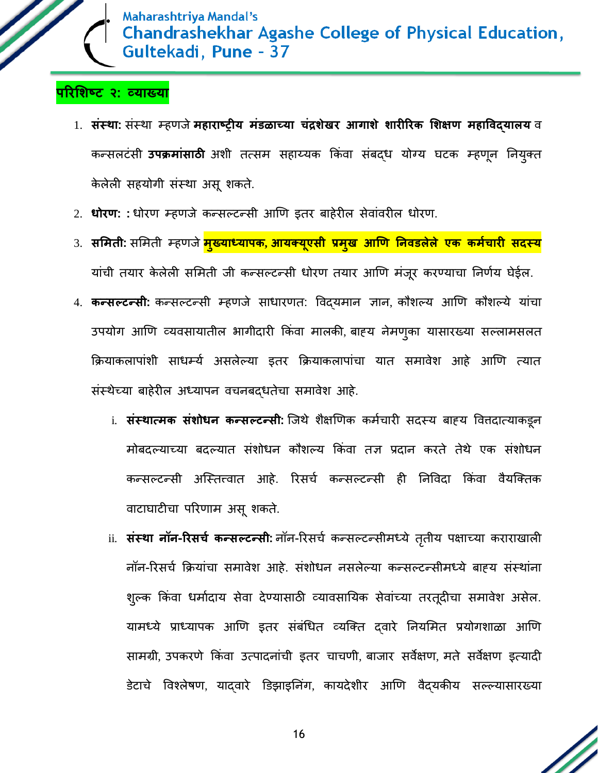

# **पररशिष्ट २: व्याख्या**

- 1. संस्था: संस्था म्हणजे महाराष्ट्रीय मंडळाच्या चंद्रशेखर आगाशे शारीरिक शिक्षण महाविदयालय व कन्सलटंसी **उपक्रमांसाठी** अशी तत्सम सहाय्यक क्रकंवा संबद्ध योग्य र्टक म्हणून ननयुक्त केलेली सहयोगी संस्था असूशकते.
- 2. **धोरण: :** धोरण म्हणजे कन्सल्टन्सी आणण इतर बाहेरील सेवांवरील धोरण.
- 3. **सशमती:** सममती म्हणजे**मुख्याध्यापक, आयक्यूएसी प्रमुख आणण ननवडलेले एक कममचारी सदस्य** यांची तयार केलेली समिती जी कन्सल्टन्सी धोरण तयार आणि मंजूर करण्याचा निर्णय घेईल.
- 4. **कन्सल्टन्सी:** कन्सल्टन्सी म्हणजे साधारणत: ववद्यमान ज्ञान, कौशल्य आणण कौशल्ये यांचा उपयोग आणि व्यवसायातील भागीदारी किंवा मालकी, बाहय नेमणुका यासारख्या सल्लामसलत क्रियाकलापांशी साधम्य असलेल्या इतर क्रियाकलापांचा यात समावेश आहे आणि त्यात संस्थेच्या बाहेरील अध्यापन वचनबद्धतेचा समावेश आहे.
	- i. **संस्थात्मक संशोधन कन्सल्टन्सी:** जिथे शैक्षणिक कर्मचारी सदस्य बाह्य वित्तदात्याकडून मोबदल्याच्या बदल्यात संशोधन कौशल्य क्रकंवा तज्ञ प्रदान करते तेथे एक संशोधन कन्सल्टन्सी अस्तित्त्वात आहे. रिसर्च कन्सल्टन्सी ही निविदा किंवा वैयक्तिक वाटार्ाटीचा पररणाम असूशकते.
	- ii. संस्था नॉन-रिसर्च कन्सल्टन्सी: नॉन-रिसर्च कन्सल्टन्सीमध्ये तृतीय पक्षाच्या कराराखाली नॉन-ररसचघ क्रियांचा समावेश आहे. संशोधन नसलेल्या कन्सल्टन्सीमध्ये बाहय संस्थांना शुल्क किंवा धर्मादाय सेवा देण्यासाठी व्यावसायिक सेवांच्या तरतूदीचा समावेश असेल. यामध्ये प्राध्यापक आणि इतर संबंधित व्यक्ति दवारे नियमित प्रयोगशाळा आणि सामग्री, उपकरणे क्रकंवा उत्पादनांची इतर चाचणी, बाजार सवेक्षण, मते सवेक्षण इत्यादी डेटाचे विश्लेषण, यादवारे डिझाइनिंग, कायदेशीर आणि वैदयकीय सल्ल्यासारख्या

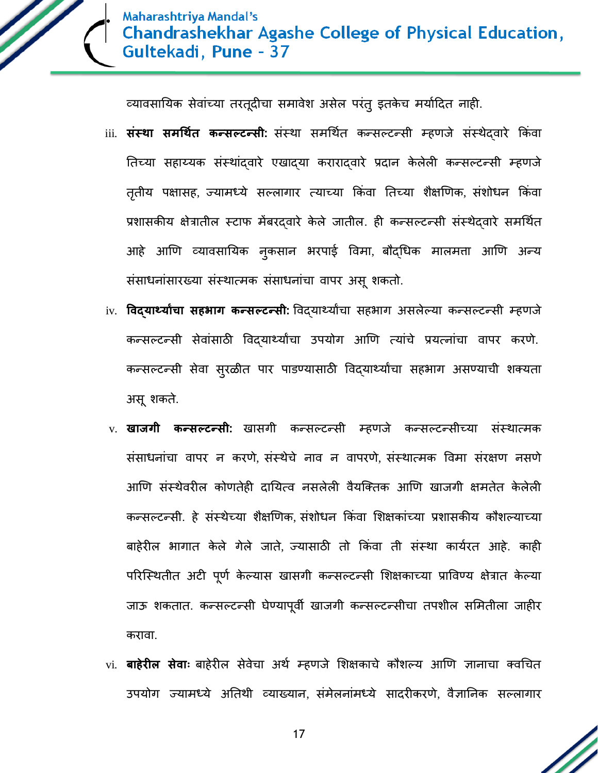

व्यावसायिक सेवांच्या तरतूदीचा समावेश असेल परंतु इतकेच मर्यादित नाही.

- iii. **संस्था समर्थित कन्सल्टन्सी:** संस्था समर्थित कन्सल्टन्सी म्हणजे संस्थेदवारे किंवा नतच्या सहाय्यक संस्थांद्वारे एखाद्या कराराद्वारे प्रदान के लेली कन्सल्टन्सी म्हणजे तृतीय पक्षासह, ज्यामध्ये सल्लागार त्याच्या किंवा तिच्या शैक्षणिक, संशोधन किंवा प्रशासकीय क्षेत्रातील स्टाफ मेंबरद्वारे केले जातील. ही कन्सल्टन्सी संस्थेद्वारे समर्थित आहे आणण यायावसानयक नुकसान भरपाई ववमा, बौद्धधक मालमत्ता आणण अन्य संसाधनांसारख्या संस्थात्मक संसाधनांचा वापर असू शकतो.
- iv. **विदयार्थ्यांचा सहभाग कन्सल्टन्सी:** विदयार्थ्यांचा सहभाग असलेल्या कन्सल्टन्सी म्हणजे कन्सल्टन्सी सेवांसाठी ववद्यार्थयाांचा उपयोग आणण त्यांचे प्रयत्नांचा वापर करणे. कन्सल्टन्सी सेवा सुरळीत पार पाडण्यासाठी विद्यार्थ्यांचा सहभाग असण्याची शक्यता असूशकते.
- v. **खाजर्ी कन्सल्टन्सी:** खासगी कन्सल्टन्सी म्हणजे कन्सल्टन्सीच्या संस्थात्मक संसाधनांचा वापर न करणे, संस्थेचे नाव न वापरणे, संस्थात्मक ववमा संरक्षण नसणे आणण संस्थेवरील कोणतेही दानयत्व नसलेली वैयश्क्तक आणण खाजगी क्षमतेत के लेली कन्सल्टन्सी. हे संस्थेच्या शैक्षणणक, संशोधन क्रकंवा मशक्षकांच्या प्रशासकीय कौशल्याच्या बाहेरील भागात केले गेले जाते, ज्यासाठी तो किंवा ती संस्था कार्यरत आहे. काही परिस्थितीत अटी पूर्ण केल्यास खासगी कन्सल्टन्सी शिक्षकाच्या प्राविण्य क्षेत्रात केल्या जाऊ शकतात. कन्सल्टन्सी र्ेण्यापूवी खाजगी कन्सल्टन्सीचा तपशील सममतीला जाहीर करावा.
- vi. **बाहेरील सेवाः** बाहेरील सेवेचा अर्थ म्हणजे शिक्षकाचे कौशल्य आणि ज्ञानाचा क्वचित उपयोग ज्यामध्ये अनतथी यायाययान, संमेलनांमध्ये सादरीकरणे, वैज्ञाननक सल्लागार

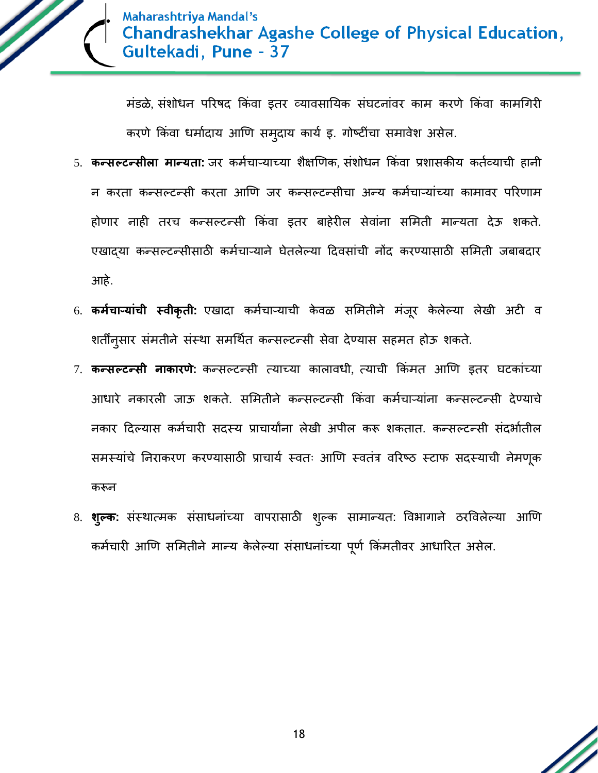

मंडळे, संशोधन पररर्द क्रकंवा इतर यायावसानयक संर्टनांवर काम करणे क्रकंवा कामधगरी करणे किंवा धर्मादाय आणि समुदाय कार्य इ. गोष्टींचा समावेश असेल.

- 5. **कन्सल्टन्सीला मान्यता:** जर कर्मचाऱ्याच्या शैक्षणिक, संशोधन किंवा प्रशासकीय कर्तव्याची हानी न करता कन्सल्टन्सी करता आणि जर कन्सल्टन्सीचा अन्य कर्मचाऱ्यांच्या कामावर परिणाम होणार नाही तरच कन्सल्टन्सी क्रकंवा इतर बाहेरील सेवांना सममती मान्यता देऊ शकते. एखाद्या कन्सल्टन्सीसाठी कर्मचाऱ्याने घेतलेल्या दिवसांची नोंद करण्यासाठी समिती जबाबदार आहे.
- 6. **कर्मचाऱ्यांची स्वीकृती:** एखादा कर्मचाऱ्याची केवळ समितीने मंजूर केलेल्या लेखी अटी व शर्तींनुसार संमतीने संस्था समर्थित कन्सल्टन्सी सेवा देण्यास सहमत होऊ शकते.
- 7. **कन्सल्टन्सी नाकारणे:** कन्सल्टन्सी त्याच्या कालावधी, त्याची क्रकंमत आणण इतर र्टकांच्या आधारे नकारली जाऊ शकते. समितीने कन्सल्टन्सी किंवा कर्मचाऱ्यांना कन्सल्टन्सी देण्याचे नकार दिल्यास कर्मचारी सदस्य प्राचार्यांना लेखी अपील करू शकतात. कन्सल्टन्सी संदर्भातील समस्यांचे निराकरण करण्यासाठी प्राचार्य स्वतः आणि स्वतंत्र वरिष्ठ स्टाफ सदस्याची नेमणूक करून
- 8. **श्ल्क:** संस्थात्मक संसाधनांच्या वापरासाठी शुल्क सामान्यत: विभागाने ठरविलेल्या आणि कर्मचारी आणि समितीने मान्य केलेल्या संसाधनांच्या पूर्ण किंमतीवर आधारित असेल.